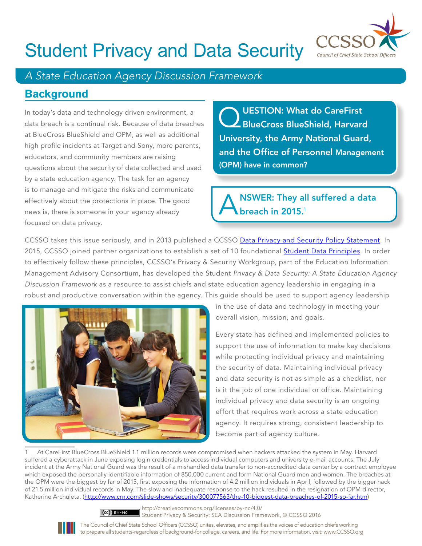

### Student Privacy and Data Security

#### *A State Education Agency Discussion Framework*

#### **Background**

In today's data and technology driven environment, a data breach is a continual risk. Because of data breaches at BlueCross BlueShield and OPM, as well as additional high profile incidents at Target and Sony, more parents, educators, and community members are raising questions about the security of data collected and used by a state education agency. The task for an agency is to manage and mitigate the risks and communicate effectively about the protections in place. The good news is, there is someone in your agency already focused on data privacy.

Q UESTION: What do CareFirst<br>BlueCross BlueShield, Harvard University, the Army National Guard, and the Office of Personnel Management (OPM) have in common?

NSWER: They all suffered a data breach in 2015.<sup>1</sup>

CCSSO takes this issue seriously, and in 2013 published a CCSSO [Data Privacy and Security Policy Statement.](http://www.ccsso.org/Resources/Digital_Resources/CCSSO_Data_Privacy_and_Security_Policy_Statement.htmlhttp:/www.ccsso.org/Resources/Digital_Resources/CCSSO_Data_Privacy_and_Security_Policy_Statement.html) In 2015, CCSSO joined partner organizations to establish a set of 10 foundational [Student Data Principles.](http://studentdataprinciples.org/) In order to effectively follow these principles, CCSSO's Privacy & Security Workgroup, part of the Education Information Management Advisory Consortium, has developed the Student *Privacy & Data Security: A State Education Agency Discussion Framework* as a resource to assist chiefs and state education agency leadership in engaging in a robust and productive conversation within the agency. This guide should be used to support agency leadership



in the use of data and technology in meeting your overall vision, mission, and goals.

Every state has defined and implemented policies to support the use of information to make key decisions while protecting individual privacy and maintaining the security of data. Maintaining individual privacy and data security is not as simple as a checklist, nor is it the job of one individual or office. Maintaining individual privacy and data security is an ongoing effort that requires work across a state education agency. It requires strong, consistent leadership to become part of agency culture.

1 At CareFirst BlueCross BlueShield 1.1 million records were compromised when hackers attacked the system in May. Harvard suffered a cyberattack in June exposing login credentials to access individual computers and university e-mail accounts. The July incident at the Army National Guard was the result of a mishandled data transfer to non-accredited data center by a contract employee which exposed the personally identifiable information of 850,000 current and form National Guard men and women. The breaches at the OPM were the biggest by far of 2015, first exposing the information of 4.2 million individuals in April, followed by the bigger hack of 21.5 million individual records in May. The slow and inadequate response to the hack resulted in the resignation of OPM director, Katherine Archuleta. (http://www.crn.com/slide-shows/security/300077563/the-10-biggest-data-breaches-of-2015-so-far.htm)



http://creativecommons.org/licenses/by-nc/4.0/ Student Privacy & Security: SEA Discussion Framework, © CCSSO 2016

The Council of Chief State School Officers (CCSSO) unites, elevates, and amplifies the voices of education chiefs working to prepare all students-regardless of background-for college, careers, and life. For more information, visit: www.CCSSO.org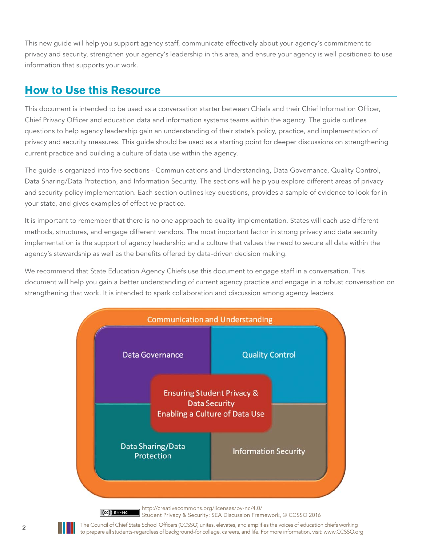This new guide will help you support agency staff, communicate effectively about your agency's commitment to privacy and security, strengthen your agency's leadership in this area, and ensure your agency is well positioned to use information that supports your work.

#### **How to Use this Resource**

This document is intended to be used as a conversation starter between Chiefs and their Chief Information Officer, Chief Privacy Officer and education data and information systems teams within the agency. The guide outlines questions to help agency leadership gain an understanding of their state's policy, practice, and implementation of privacy and security measures. This guide should be used as a starting point for deeper discussions on strengthening current practice and building a culture of data use within the agency.

The guide is organized into five sections - Communications and Understanding, Data Governance, Quality Control, Data Sharing/Data Protection, and Information Security. The sections will help you explore different areas of privacy and security policy implementation. Each section outlines key questions, provides a sample of evidence to look for in your state, and gives examples of effective practice.

It is important to remember that there is no one approach to quality implementation. States will each use different methods, structures, and engage different vendors. The most important factor in strong privacy and data security implementation is the support of agency leadership and a culture that values the need to secure all data within the agency's stewardship as well as the benefits offered by data-driven decision making.

We recommend that State Education Agency Chiefs use this document to engage staff in a conversation. This document will help you gain a better understanding of current agency practice and engage in a robust conversation on strengthening that work. It is intended to spark collaboration and discussion among agency leaders.



Student Privacy & Security: SEA Discussion Framework, © CCSSO 2016

**2** The Council of Chief State School Officers (CCSSO) unites, elevates, and amplifies the voices of education chiefs working to prepare all students-regardless of background-for college, careers, and life. For more information, visit: www.CCSSO.org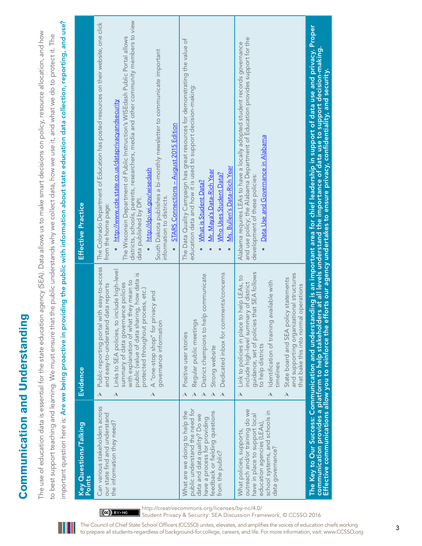| l<br>֧֧֚֚֚֚֚֚֚֚֚֚֚֚֚֚֚֚֚֚֚֡֡֡֡֡֡֡֡֡֡֝֬ |
|----------------------------------------|
| Ì                                      |
|                                        |
|                                        |
|                                        |
|                                        |
|                                        |
|                                        |
|                                        |
| <b>Center</b>                          |
|                                        |
| ľ                                      |
| Ì                                      |
|                                        |
|                                        |
| ļ                                      |
|                                        |
|                                        |
|                                        |
|                                        |
|                                        |
|                                        |
|                                        |
|                                        |
|                                        |
|                                        |

important question here is: Are we being proactive in providing the public with information about state education data collection, reporting, and use? important question here is: Are we being proactive in providing the public with information about state education data collection, reporting, and use? The use of education data is essential for the state education agency (SEA). Data allows us to make smart decisions on policy, resource allocation, and how The use of education data is essential for the state education agency (SEA). Data allows us to make smart decisions on policy, resource allocation, and how to best support teaching and learning. We must ensure that the public understands why we collect data, how we use it, and what we do to protect it. The to best support teaching and learning. We must ensure that the public understands why we collect data, how we use it, and what we do to protect it. The

| Key Questions/Talking<br><b>Points</b>                                                                                                                                                | Evidence                                                                                                                                                                                                                                                                                                                                                                                                                                   | <b>Effective Practice</b>                                                                                                                                                                                                                                                                                                                                                                                                                                                                                                                               |
|---------------------------------------------------------------------------------------------------------------------------------------------------------------------------------------|--------------------------------------------------------------------------------------------------------------------------------------------------------------------------------------------------------------------------------------------------------------------------------------------------------------------------------------------------------------------------------------------------------------------------------------------|---------------------------------------------------------------------------------------------------------------------------------------------------------------------------------------------------------------------------------------------------------------------------------------------------------------------------------------------------------------------------------------------------------------------------------------------------------------------------------------------------------------------------------------------------------|
| Can various stakeholders across<br>our state find and understand<br>the information they need?                                                                                        | Public reporting portal with easy-to-access<br>Links to SEA policies, to include high-level<br>public (value of data sharing, how data is<br>with explanation of what they mean to<br>summary of data governance policies<br>and easy-to-understand data reports<br>protected throughout process, etc.)<br>A "one-stop shop" for privacy and<br>governance information<br>$\overline{\mathcal{A}}$<br>$\blacktriangle$<br>$\blacktriangle$ | districts, schools, parents, researchers, media and other community members to view<br>The Colorado Department of Education has posted resources on their website, one click<br>The Wisconsin Department of Public Instruction's WISEdash Public Portal allows<br>South Dakota publishes a bi-monthly newsletter to communicate important<br>• http://www.cde.state.co.us/dataprivacyandsecurity<br>STARS Connections - August 2015 Edition<br>http://dpi.wi.gov/wisedash<br>information to districts.<br>data published by DPI.<br>from the home page: |
| public understand the need for<br>What are we doing to help the<br>feedback or fielding questions<br>data and data quality? Do we<br>have a process for providing<br>trom the public? | Dedicated inbox for comments/concerns<br>District champions to help communicate<br>Regular public meetings<br>Positive user stories<br>Strong website<br>$\blacktriangle$<br>$\boldsymbol{\lambda}$                                                                                                                                                                                                                                        | The Data Quality Campaign has great resources for demonstrating the value of<br>education data and how it is used to support decision-making:<br>Ms. Bullen's Data-Rich Year<br>Mr. Mava's Data-Rich Year<br>Who Uses Student Data?<br>What is Student Data?                                                                                                                                                                                                                                                                                            |
| outreach and/or training do we<br>school systems, and schools in<br>have in place to support local<br>education agencies (LEAs),<br>What policies, supports,<br>data governance?      | guidance, set of policies that SEA follows<br>and supporting organizational structures<br>Link to policies in place to help LEAs, to<br>State board and SEA policy statements<br>Identification of training available with<br>include high-level summary of district<br>operations<br>that bake this into normal<br>to help districts<br>timelines<br>$\Delta$<br>$\overline{\mathcal{A}}$<br>$\blacktriangle$                             | and use policy; the Alabama Department of Education provides support for the<br>Alabama requires LEAs to have a locally adopted student records governance<br><b>Data Use and Governance in Alabama</b><br>development of these policies:                                                                                                                                                                                                                                                                                                               |
| The Key to Our Success: Communication and understan                                                                                                                                   |                                                                                                                                                                                                                                                                                                                                                                                                                                            | nding is an important area for chief leadership in support of data use and privacy. Proper<br>communication provides a platform to help stakeholders at all levels understand the importance of data use to support decision-making.<br>Effective communications allow you to reinforce the efforts our agency undertakes to en                                                                                                                                                                                                                         |

http://creativecommons.org/licenses/by-nc/4.0/

 $\left[\left(\mathbf{G}\right)\right]$  BY-NC

Student Privacy & Security: SEA Discussion Framework, © CCSSO 2016

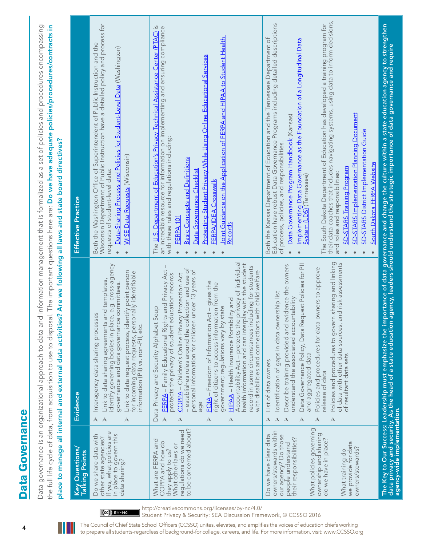| q |  |
|---|--|
| Ċ |  |
|   |  |
|   |  |
| í |  |
|   |  |
|   |  |
| Ċ |  |
|   |  |
|   |  |
|   |  |
|   |  |
|   |  |
|   |  |
|   |  |
|   |  |
|   |  |
|   |  |

Data governance is an organizational approach to data and information management that is formalized as a set of policies and procedures encompassing Data governance is an organizational approach to data and information management that is formalized as a set of policies and procedures encompassing the full life cycle of data, from acquisition to use to disposal. The important questions here are: **Do we have adequate policies/procedures/contracts in** the full life cycle of data, from acquisition to use to disposal. The important questions here are: Do we have adequate policies/procedures/contracts in manage all internal and external data activities? Are we following all laws and state board directives? place to manage all internal and external data activities? Are we following all laws and state board directives? nlare to

| Key Questions<br>Talking Points                                                                                                                                                                                                                                    | Evidence                                                                                                                                                                                                                                                                                                                                                                                                                                                                                                                                                                                                                                                                                                                                                                                                                                              | Effective Practice                                                                                                                                                                                                                                                                                                                                                                                                                                                                                                                                                                                                                                                                                                                       |
|--------------------------------------------------------------------------------------------------------------------------------------------------------------------------------------------------------------------------------------------------------------------|-------------------------------------------------------------------------------------------------------------------------------------------------------------------------------------------------------------------------------------------------------------------------------------------------------------------------------------------------------------------------------------------------------------------------------------------------------------------------------------------------------------------------------------------------------------------------------------------------------------------------------------------------------------------------------------------------------------------------------------------------------------------------------------------------------------------------------------------------------|------------------------------------------------------------------------------------------------------------------------------------------------------------------------------------------------------------------------------------------------------------------------------------------------------------------------------------------------------------------------------------------------------------------------------------------------------------------------------------------------------------------------------------------------------------------------------------------------------------------------------------------------------------------------------------------------------------------------------------------|
| If yes, what policies are<br>Do we share data with<br>in place to govern this<br>other state agencies?<br>data sharing?                                                                                                                                            | Link to data sharing agreements and templates,<br>identify governing bodies in place, e.g. cross-agency<br>Link to data request process, identify point person<br>for incoming data requests, personally identifiable<br>governance and data governance committees.<br>Interagency data sharing processes<br>information (PII) vs. non-PII, etc.<br>$\boldsymbol{\lambda}$<br>$\mathbb{A}$<br>$\mathcal{A}$                                                                                                                                                                                                                                                                                                                                                                                                                                           | Wisconsin Department of Public Instruction have a detailed policy and process for<br>Both the Washington Office of Superintendent of Public Instruction and the<br>Data-Sharing Process and Policies for Student-Level Data (Washington)<br><b>WISE Data Requests (Wisconsin)</b><br>requests of student-level data:<br>$\bullet$<br>$\bullet$                                                                                                                                                                                                                                                                                                                                                                                           |
| to be concerned about?<br>regulations do we need<br>What are FERPA and<br>COPPA and how do<br>What other laws or<br>they apply to us?                                                                                                                              | Accountability Act - protects the privacy of individual<br>health information and can interplay with the student<br>record in some circumstances including for students<br>- establishes rules around the collection and use of<br>FERPA - Family Educational Rights and Privacy Act<br>personal information for children under 13 years of<br>with disabilities and connections with child welfare<br>protects the privacy of student education records<br><b>COPPA - Children's Online Privacy Protection Act</b><br>FOIA - Freedom of Information Act - gives the<br>right of citizens to access information from the<br>HIPAA - Health Insurance Portability and<br>government; regulations vary by state<br>Data Privacy and Security Alphabet Soup<br>age<br>$\boldsymbol{\mathsf{A}}$<br>$\blacktriangle$<br>$\blacktriangle$<br>$\mathcal{A}$ | The U.S. Department of Education's Privacy Technical Assistance Center (PTAC) is<br>an incredible resource for information on implementing and ensuring compliance<br>Joint Guidance on the Application of FERPA and HIPAA to Student Health<br>Protecting Student Privacy While Using Online Educational Services<br>with these rules and regulations including:<br><b>Basic Concepts and Definitions</b><br>Data Governance Checklist<br>FERPA/IDEA Crosswalk<br>FERPA <sub>101</sub><br><b>Records</b><br>$\bullet$                                                                                                                                                                                                                   |
| What policies governing<br>owners/stewards within<br>ownership and sharing<br>Do we have clear data<br>our agency? Do those<br>their responsibilities?<br>do we have in place?<br>we provide for data<br>people understand<br>owners/stewards?<br>What training do | Policies and procedures to govern sharing and linking<br>of data with other data sources, and risk assessments<br>Data Governance Policy, Data Request Policies for Pll<br>Describe training provided and evidence the owners<br>Policies and procedures for data owners to approve<br>Identification of gaps in data ownership list<br>understand the associated accountability<br>and aggregated data<br>of resultant data sets<br>List of data owners<br>release of data<br>$\mathbb{A}$<br>$\boldsymbol{\lambda}$<br>$\blacktriangle$<br>$\mathcal{A}$<br>$\mathcal{A}$<br>$\boldsymbol{\lambda}$                                                                                                                                                                                                                                                 | The South Dakota Department of Education has developed a training program for<br>their data coaches that includes navigating systems, using data to inform decisions,<br>Education have robust Data Governance Programs including detailed descriptions<br>Both the Kansas Department of Education and the Tennessee Department of<br>Implementing Data Governance as the Foundation of a Longitudinal Data<br><b>SD-STARS Implementation Planning Document</b><br>Data Governance Program Handbook (Kansas)<br>SD-STARS District Implementation Guide<br>of process, policies, and responsibilities.<br>South Dakota FERPA Website<br><b>SD-STARS Training Program</b><br>and roles and responsibilities:<br>$System (LDS)$ (Tennessee) |
|                                                                                                                                                                                                                                                                    | data privacy and security. As the head of a state educatio<br>agency-wide implementation.                                                                                                                                                                                                                                                                                                                                                                                                                                                                                                                                                                                                                                                                                                                                                             | The Key to Our Success: Leadership must emphasize the importance of data governance and change the culture within a state education agency to strengthen<br>data privacy and security. As the head of a state education agency, l                                                                                                                                                                                                                                                                                                                                                                                                                                                                                                        |

http://creativecommons.org/licenses/by-nc/4.0/

 $(Oe)$  BY-NO

Student Privacy & Security: SEA Discussion Framework, © CCSSO 2016

<sup>4</sup>The Council of Chief State School Officers (CCSSO) unites, elevates, and amplifies the voices of education chiefs working to prepare all students-regardless of background-for college, careers, and life. For more information, visit: www.CCSSO.org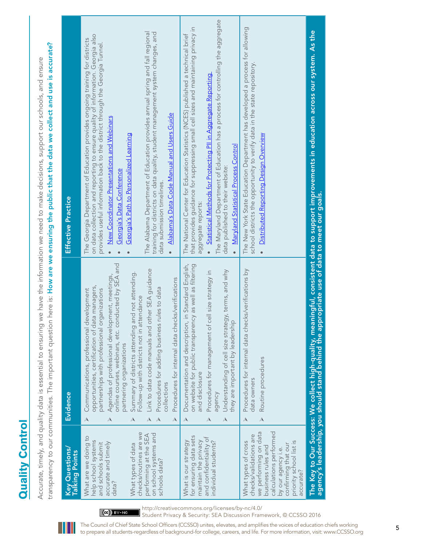|                                                                                                                                                                                                                      | transparency to our communities. The important question                                                                                                                                                                                                                                                                                                                                                                                                                                                                                                                                                                                                                                     | here is: How are we ensuring the public that the data we collect and use is accurate?<br>Accurate, timely, and quality data is essential to ensuring we have the information we need to make decisions, support our schools, and ensure                                                                                                                                                                                                                                                                                                                                                                                                                                |
|----------------------------------------------------------------------------------------------------------------------------------------------------------------------------------------------------------------------|---------------------------------------------------------------------------------------------------------------------------------------------------------------------------------------------------------------------------------------------------------------------------------------------------------------------------------------------------------------------------------------------------------------------------------------------------------------------------------------------------------------------------------------------------------------------------------------------------------------------------------------------------------------------------------------------|------------------------------------------------------------------------------------------------------------------------------------------------------------------------------------------------------------------------------------------------------------------------------------------------------------------------------------------------------------------------------------------------------------------------------------------------------------------------------------------------------------------------------------------------------------------------------------------------------------------------------------------------------------------------|
| Key Questions/<br>Talking Points                                                                                                                                                                                     | Evidence                                                                                                                                                                                                                                                                                                                                                                                                                                                                                                                                                                                                                                                                                    | Effective Practice                                                                                                                                                                                                                                                                                                                                                                                                                                                                                                                                                                                                                                                     |
| checks/routines are we<br>on school systems and<br>performing at the SEA<br>What are we doing to<br>help school systems<br>accurate and timely<br>and schools submit<br>What types of data<br>schools data?<br>data? | online courses, webinars, etc. conducted by SEA and<br>Link to data code manuals and other SEA guidance<br>Summary of districts attending and not attending.<br>Agendas of professional development, meetings,<br>Procedures for internal data checks/verifications<br>opportunities, certification of data managers,<br>Procedures for adding business rules to data<br>Communications, professional development<br>partnerships with professional organizations<br>Follow-up with districts not in attendance<br>partnering organizations<br>collections<br>$\blacktriangle$<br>$\blacktriangle$<br>$\blacktriangle$<br>$\boldsymbol{\lambda}$<br>$\boldsymbol{\lambda}$<br>$\mathcal{A}$ | The Alabama Department of Education provides annual spring and fall regional<br>training for districts on data quality, student management system changes, and<br>on data collection and reporting to ensure quality of information. Georgia also<br>The Georgia Department of Education provides ongoing training for districts<br>provides useful information back to the district through the Georgia Tunnel.<br>Alabama's Data Code Manual and Users Guide<br>New Coordinator Presentations and Webinars<br>Georgia's Path to Personalized Learning<br>Georgia's Data Conference<br>data submission timelines.<br>$\bullet$<br>$\bullet$<br>$\bullet$<br>$\bullet$ |
| for ensuring data sets<br>and confidentiality of<br>maintain the privacy<br>What is our strategy<br>individual students?                                                                                             | in Standard English,<br>on website for public transparency as well as filtering<br>Understanding of cell size strategy, terms, and why<br>Procedures for management of cell size strategy in<br>they are important by leadership<br>Documentation and description,<br>and disclosure<br>agency<br>$\mathbb{A}$<br>$\boldsymbol{\lambda}$<br>$\boldsymbol{\lambda}$                                                                                                                                                                                                                                                                                                                          | The Maryland Department of Education has a process for controlling the aggregate<br>that provides guidance for suppressing small cell sizes and maintaining privacy in<br>The National Center for Education Statistics (NCES) published a technical brief<br>Statistical Methods for Protecting PII in Aggregate Reporting<br>Maryland Statistical Process Control<br>data published to their website:<br>aggregate reports:<br>$\bullet$                                                                                                                                                                                                                              |
| we performing on data<br>calculations performed<br>checks/validations are<br>What types of cross<br>priority school list is<br>confirming that our<br>business rules and<br>by our agency i.e.<br>accurate?          | Procedures for internal data checks/verifications by<br>Routine procedures<br>data owners<br>$\mathcal{A}$<br>$\blacktriangle$                                                                                                                                                                                                                                                                                                                                                                                                                                                                                                                                                              | The New York State Education Department has developed a process for allowing<br>school districts the opportunity to verify data in the state repository.<br>Distributed Reporting Design Overview                                                                                                                                                                                                                                                                                                                                                                                                                                                                      |
|                                                                                                                                                                                                                      |                                                                                                                                                                                                                                                                                                                                                                                                                                                                                                                                                                                                                                                                                             | The Key to Our Success: We collect high-quality, meaningful, consistent data to support improvements in education across our system. As the<br>agency's leadership, you should stand behind the appropriate use of data to meet o                                                                                                                                                                                                                                                                                                                                                                                                                                      |

## **Quality Control Quality Control**



http://creativecommons.org/licenses/by-nc/4.0/  $\left[\left(\mathbf{G}\right)\right]$  BY-NC Student Privacy & Security: SEA Discussion Framework, © CCSSO 2016

<sup>5</sup> The Council of Chief State School Officers (CCSSO) unites, elevates, and amplifies the voices of education chiefs working to prepare all students-regardless of background-for college, careers, and life. For more information, visit: www.CCSSO.org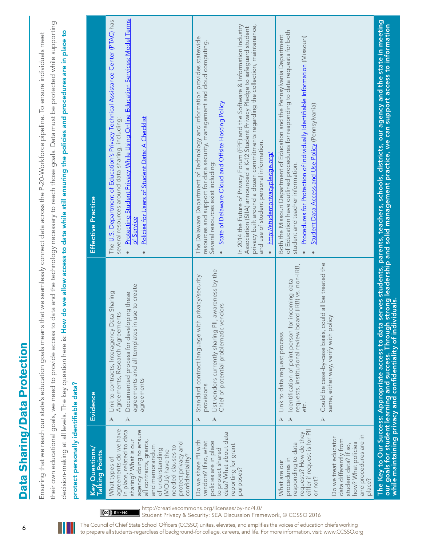| l<br>I   |  |
|----------|--|
| I<br>I   |  |
| <b>S</b> |  |
| Í<br>ı   |  |

their own educational goals, we need to provide access to data and the technology necessary to reach those goals. Data must be protected while supporting their own educational goals, we need to provide access to data and the technology necessary to reach those goals. Data must be protected while supporting decision-making at all levels. The key question here is: How do we allow access to data while still ensuring the policies and procedures are in place to decision-making at all levels. The key question here is: How do we allow access to data while still ensuring the policies and procedures are in place to Ensuring that we reach our state's education goals means that we seamlessly connect data across the P-20-Workforce pipeline. To ensure individuals meet Ensuring that we reach our state's education goals means that we seamlessly connect data across the P-20-Workforce pipeline. To ensure individuals meet protect personally identifiable data? protect personally identifiable data?

| Key Questions/<br>Talking Points                                                                                                                                                                                                                                         | Evidence                                                                                                                                                                                                                                                                                                     | <b>Effective Practice</b>                                                                                                                                                                                                                                                                                                                                                                                                                                                                                                                                                                   |
|--------------------------------------------------------------------------------------------------------------------------------------------------------------------------------------------------------------------------------------------------------------------------|--------------------------------------------------------------------------------------------------------------------------------------------------------------------------------------------------------------------------------------------------------------------------------------------------------------|---------------------------------------------------------------------------------------------------------------------------------------------------------------------------------------------------------------------------------------------------------------------------------------------------------------------------------------------------------------------------------------------------------------------------------------------------------------------------------------------------------------------------------------------------------------------------------------------|
| agreements do we have<br>in place, related to data<br>agency doing to ensure<br>sharing? What is our<br>all contracts, grants,<br>protect privacy and<br>and memorandum<br>needed clauses to<br>of understanding<br>(MOUs) have the<br>confidentiality?<br>What types of | agreements and all templates in use to create<br>Link to contracts, Interagency Data Sharing<br>Documented process for developing these<br>Agreements, Research Agreements<br>agreements<br>$\mathbb{\lambda}$<br>$\mathbb A$                                                                                | Protecting Student Privacy While Using Online Education Services: Model Terms<br>The U.S. Department of Education's Privacy Technical Assistance Center (PTAC) has<br>Policies for Users of Student Data: A Checklist<br>several resources around data sharing, including:<br>of Service<br>$\bullet$<br>$\bullet$                                                                                                                                                                                                                                                                          |
| data? What about data<br>Do we share PII with<br>vendors? If so, what<br>policies are in place<br>reporting for grant<br>to protect shared<br>purposes?                                                                                                                  | awareness by the<br>privacy/security<br>Chief of potential problematic vendors<br>Standard contract language with<br>List vendors currently sharing PII,<br>provisions<br>$\boldsymbol{\mathsf{A}}$<br>$\boldsymbol{\lambda}$                                                                                | privacy built around a dozen commitments regarding the collection, maintenance,<br>In 2014 the Future of Privacy Forum (FPF) and the Software & Information Industry<br>Association (SIIA) announced a K-12 Student Privacy Pledge to safeguard student<br>The Delaware Department of Technology and Information provides statewide<br>resources and support for data security, management and cloud computing.<br>State of Delaware Cloud and Offsite Hosting Policy<br>and use of student personal information.<br>http://studentprivacypledge.org/<br>Several resources exist including: |
| differ if request is for PII<br>requests? How do they<br>and procedures are in<br>Do we treat educator<br>data differently from<br>how? What policies<br>responding to data<br>student data? If so,<br>procedures in<br>What are our<br>or not?<br>place?                | Could be case-by-case basis, could all be treated the<br>requests, institutional review board (IRB) vs. non-IRB,<br>incoming data<br>same, either way, verify with policy<br>dentification of point person for<br>Link to data request process<br>etc.<br>$\lambda$<br>$\triangle$<br>$\boldsymbol{\lambda}$ | of Education have outlined procedures for responding to data requests for both<br>Both the Missouri Department of Education and the Pennsylvania Department<br>Procedures for Protection of Individually Identifiable Information (Missouri)<br><b>Student Data Access and Use Policy</b> (Pennsylvania)<br>student and teacher information.                                                                                                                                                                                                                                                |
|                                                                                                                                                                                                                                                                          | our goals for student learning and success. Through strong<br>while maintaining privacy and confidentiality of individuals.<br>The Key to Our Success: Appropriate access to data                                                                                                                            | serves students, parents, teachers, schools, districts, our agency and the state in meeting<br>strong leadership and solid management practice, we can support access to information                                                                                                                                                                                                                                                                                                                                                                                                        |

http://creativecommons.org/licenses/by-nc/4.0/ Student Privacy & Security: SEA Discussion Framework, © CCSSO 2016

 $(G)$  BY-NC

The Council of Chief State School Officers (CCSSO) unites, elevates, and amplifies the voices of education chiefs working to prepare all students-regardless of background-for college, careers, and life. For more information, visit: www.CCSSO.org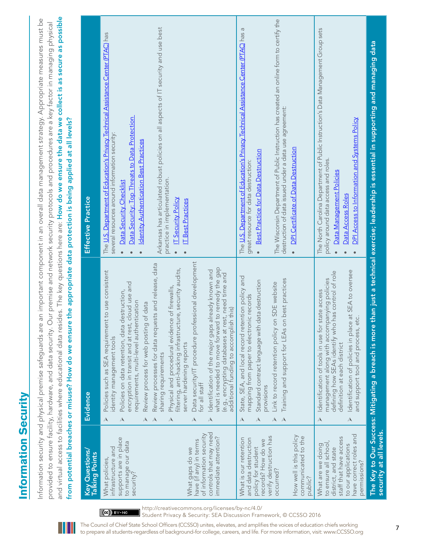# **Information Security**  Information Security

and virtual access to facilities where educational data resides. The key questions here are: How do we ensure the data we collect is as secure as possible and virtual access to facilities where educational data resides. The key questions here are: How do we ensure the data we collect is as secure as possible Information security and physical premise safeguards are an important component in an overall data management strategy. Appropriate measures must be Information security and physical premise safeguards are an important component in an overall data management strategy. Appropriate measures must be provided to ensure facility, hardware, and data security. Our premise and network security protocols and procedures are a key factor in managing physical provided to ensure facility, hardware, and data security. Our premise and network security protocols and procedures are a key factor in managing physical from potential breaches or misuse? How do we ensure the appropriate data protection is being applied at all levels? from potential breaches or misuse? How do we ensure the appropriate data protection is being applied at all levels?

|                                                                                                                                                                                                                            | Evidence                                                                                                                                                                                                                                                                                                                                                                                                                                                                                                                                                                                                                                                                                                                                                                                                                                                                                                                                               | Effective Practice                                                                                                                                                                                                                                                                                                                                                                                                                                                                    |
|----------------------------------------------------------------------------------------------------------------------------------------------------------------------------------------------------------------------------|--------------------------------------------------------------------------------------------------------------------------------------------------------------------------------------------------------------------------------------------------------------------------------------------------------------------------------------------------------------------------------------------------------------------------------------------------------------------------------------------------------------------------------------------------------------------------------------------------------------------------------------------------------------------------------------------------------------------------------------------------------------------------------------------------------------------------------------------------------------------------------------------------------------------------------------------------------|---------------------------------------------------------------------------------------------------------------------------------------------------------------------------------------------------------------------------------------------------------------------------------------------------------------------------------------------------------------------------------------------------------------------------------------------------------------------------------------|
| Key Questions/<br>Talking Points                                                                                                                                                                                           |                                                                                                                                                                                                                                                                                                                                                                                                                                                                                                                                                                                                                                                                                                                                                                                                                                                                                                                                                        |                                                                                                                                                                                                                                                                                                                                                                                                                                                                                       |
| controls that may need<br>of information security<br>immediate attention?<br>supports are in place<br>have (if any) in terms<br>to manage our data<br>intrastructure and<br>What gaps do we<br>What policies,<br>security? | Data security/IT procedure professional development<br>Review processes for data requests and release, data<br>what is needed to move forward to remedy the gap<br>filtering, anti-hacking infrastructure, security audits,<br>Identification of the major gaps already known and<br>Policies such as SEA requirement to use consistent<br>(e.g., encrypting databases at rest, need time and<br>cloud use and<br>Physical and procedural evidence of firewalls,<br>Policies on data retention, data destruction,<br>requirements, multi-level authentication<br>of data<br>additional funding to accomplish this)<br>encryption in transit and at rest,<br>Review process for web posting<br>dentity management tools<br>server hardening reports<br>sharing requirements<br>for all staff<br>$\blacktriangle$<br>$\blacktriangle$<br>$\mathcal{A}$<br>$\boldsymbol{\lambda}$<br>$\blacktriangle$<br>$\boldsymbol{\lambda}$<br>$\boldsymbol{\lambda}$ | Arkansas has articulated robust policies on all aspects of IT security and use best<br>The U.S. Department of Education's Privacy Technical Assistance Center (PTAC) has<br>Data Security: Top Threats to Data Protection<br>several resources around information security:<br><b>Identity Authentication Best Practices</b><br>practice in implementation.<br>Data Security Checklist<br><b>IT Security Policy</b><br><b>T</b> Best Practices<br>$\bullet$<br>$\bullet$<br>$\bullet$ |
| How well is this policy<br>verify destruction has<br>communicated to the<br>What is our retention<br>and data destruction<br>records? How do we<br>policy for student<br>occurred?<br>public?                              | State, SEA, and local record retention policy and<br>Training and support for LEAs on best practices<br>lata destruction<br>Link to record retention policy on SDE website<br>mapping from paper to electronic records<br>Standard contract language with c<br>provisions<br>$\mathcal{A}$<br>$\blacktriangle$<br>$\blacktriangle$<br>$\blacktriangle$                                                                                                                                                                                                                                                                                                                                                                                                                                                                                                                                                                                                 | The Wisconsin Department of Public Instruction has created an online form to certify the<br>The U.S. Department of Education's Privacy Technical Assistance Center (PTAC) has a<br>destruction of data issued under a data use agreement:<br>DPI Certificate of Data Destruction<br>Best Practice for Data Destruction<br>great resource for data destruction:<br>$\bullet$<br>$\bullet$                                                                                              |
| have correct roles and<br>staff that have access<br>to ensure all school,<br>to our applications<br>What are we doing<br>district, and state<br>permissions?                                                               | Identification of policies in place at SEA to oversee<br>has control of role<br>management along with accompanying policies<br>Identification of tools in use for state access<br>and support tool and process, etc.<br>defining how SEAs identify who<br>definition at each district<br>$\boldsymbol{\mathsf{A}}$<br>$\mathcal{A}$                                                                                                                                                                                                                                                                                                                                                                                                                                                                                                                                                                                                                    | The North Carolina Department of Public Instruction's Data Management Group sets<br>DPI Access to Information and Systems Policy<br>policy around data access and roles.<br>Data Management Policies<br>Data Access Roles<br>$\bullet$                                                                                                                                                                                                                                                |
| security at all levels.                                                                                                                                                                                                    | The Key to Our Success: Mitigating a breach is more                                                                                                                                                                                                                                                                                                                                                                                                                                                                                                                                                                                                                                                                                                                                                                                                                                                                                                    | than just a technical exercise; leadership is essential in supporting and managing data                                                                                                                                                                                                                                                                                                                                                                                               |

http://creativecommons.org/licenses/by-nc/4.0/ Student Privacy & Security: SEA Discussion Framework, © CCSSO 2016

 $\left[\left(\mathrm{ce}\right)\right]$  BY-NC

<sup>7</sup> The Council of Chief State School Officers (CCSSO) unites, elevates, and amplifies the voices of education chiefs working

to prepare all students-regardless of background-for college, careers, and life. For more information, visit: www.CCSSO.org